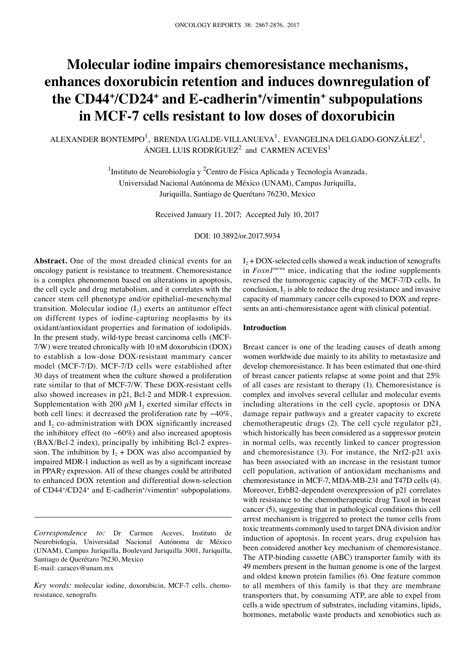# **Molecular iodine impairs chemoresistance mechanisms, enhances doxorubicin retention and induces downregulation of the CD44+ /CD24+ and E-cadherin+ /vimentin+ subpopulations in MCF-7 cells resistant to low doses of doxorubicin**

ALEXANDER BONTEMPO $^1$ , BRENDA UGALDE-VILLANUEVA $^1$ , EVANGELINA DELGADO-GONZÁLEZ $^1$ , ÁNGEL LUIS RODRÍGUEZ<sup>2</sup> and CARMEN ACEVES<sup>1</sup>

> <sup>1</sup>Instituto de Neurobiología y <sup>2</sup>Centro de Física Aplicada y Tecnología Avanzada, Universidad Nacional Autónoma de México (UNAM), Campus Juriquilla, Juriquilla, Santiago de Querétaro 76230, Mexico

> > Received January 11, 2017; Accepted July 10, 2017

DOI: 10.3892/or.2017.5934

**Abstract.** One of the most dreaded clinical events for an oncology patient is resistance to treatment. Chemoresistance is a complex phenomenon based on alterations in apoptosis, the cell cycle and drug metabolism, and it correlates with the cancer stem cell phenotype and/or epithelial-mesenchymal transition. Molecular iodine  $(I_2)$  exerts an antitumor effect on different types of iodine-capturing neoplasms by its oxidant/antioxidant properties and formation of iodolipids. In the present study, wild-type breast carcinoma cells (MCF-7/W) were treated chronically with 10 nM doxorubicin (DOX) to establish a low-dose DOX-resistant mammary cancer model (MCF-7/D). MCF-7/D cells were established after 30 days of treatment when the culture showed a proliferation rate similar to that of MCF-7/W. These DOX-resistant cells also showed increases in p21, Bcl-2 and MDR-1 expression. Supplementation with 200  $\mu$ M I<sub>2</sub> exerted similar effects in both cell lines: it decreased the proliferation rate by  $~10\%$ , and I<sub>2</sub> co-administration with DOX significantly increased the inhibitory effect (to  $~60\%$ ) and also increased apoptosis (BAX/Bcl-2 index), principally by inhibiting Bcl-2 expression. The inhibition by  $I_2$  + DOX was also accompanied by impaired MDR-1 induction as well as by a significant increase in PPARγ expression. All of these changes could be attributed to enhanced DOX retention and differential down-selection of CD44+/CD24+ and E-cadherin+/vimentin+ subpopulations.

*Correspondence to:* Dr Carmen Aceves, Instituto de Neurobiolog�a, Universidad Nacional Autónoma de México (UNAM), Campus Juriquilla, Boulevard Juriquilla 3001, Juriquilla, Santiago de Querétaro 76230, Mexico E-mail: caracev@unam.mx

 $I_2$  + DOX-selected cells showed a weak induction of xenografts in *Foxn1<sup>nu/nu</sup>* mice, indicating that the iodine supplements reversed the tumorogenic capacity of the MCF-7/D cells. In conclusion,  $I_2$  is able to reduce the drug resistance and invasive capacity of mammary cancer cells exposed to DOX and represents an anti-chemoresistance agent with clinical potential.

#### **Introduction**

Breast cancer is one of the leading causes of death among women worldwide due mainly to its ability to metastasize and develop chemoresistance. It has been estimated that one-third of breast cancer patients relapse at some point and that 25% of all cases are resistant to therapy (1). Chemoresistance is complex and involves several cellular and molecular events including alterations in the cell cycle, apoptosis or DNA damage repair pathways and a greater capacity to excrete chemotherapeutic drugs (2). The cell cycle regulator p21, which historically has been considered as a suppressor protein in normal cells, was recently linked to cancer progression and chemoresistance (3). For instance, the Nrf2-p21 axis has been associated with an increase in the resistant tumor cell population, activation of antioxidant mechanisms and chemoresistance in MCF-7, MDA-MB-231 and T47D cells (4). Moreover, ErbB2-dependent overexpression of p21 correlates with resistance to the chemotherapeutic drug Taxol in breast cancer (5), suggesting that in pathological conditions this cell arrest mechanism is triggered to protect the tumor cells from toxic treatments commonly used to target DNA division and/or induction of apoptosis. In recent years, drug expulsion has been considered another key mechanism of chemoresistance. The ATP-binding cassette (ABC) transporter family with its 49 members present in the human genome is one of the largest and oldest known protein families (6). One feature common to all members of this family is that they are membrane transporters that, by consuming ATP, are able to expel from cells a wide spectrum of substrates, including vitamins, lipids, hormones, metabolic waste products and xenobiotics such as

*Key words:* molecular iodine, doxorubicin, MCF-7 cells, chemoresistance, xenografts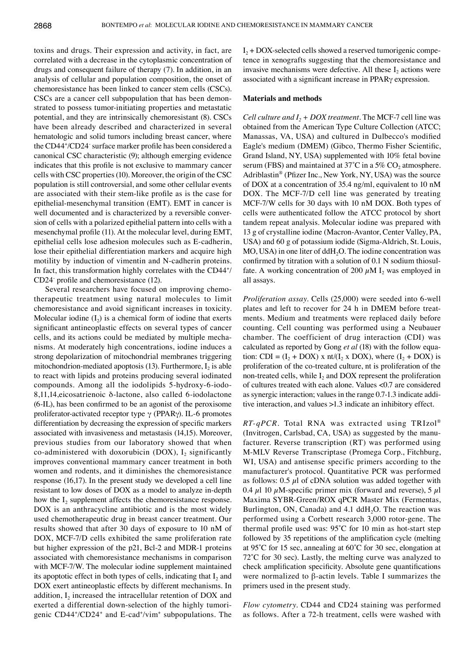toxins and drugs. Their expression and activity, in fact, are correlated with a decrease in the cytoplasmic concentration of drugs and consequent failure of therapy (7). In addition, in an analysis of cellular and population composition, the onset of chemoresistance has been linked to cancer stem cells (CSCs). CSCs are a cancer cell subpopulation that has been demonstrated to possess tumor-initiating properties and metastatic potential, and they are intrinsically chemoresistant (8). CSCs have been already described and characterized in several hematologic and solid tumors including breast cancer, where the CD44+ /CD24- surface marker profile has been considered a canonical CSC characteristic (9); although emerging evidence indicates that this profile is not exclusive to mammary cancer cells with CSC properties(10). Moreover, the origin of the CSC population is still controversial, and some other cellular events are associated with their stem-like profile as is the case for epithelial-mesenchymal transition (EMT). EMT in cancer is well documented and is characterized by a reversible conversion of cells with a polarized epithelial pattern into cells with a mesenchymal profile (11). At the molecular level, during EMT, epithelial cells lose adhesion molecules such as E-cadherin, lose their epithelial differentiation markers and acquire high motility by induction of vimentin and N-cadherin proteins. In fact, this transformation highly correlates with the CD44+ / CD24- profile and chemoresistance (12).

Several researchers have focused on improving chemotherapeutic treatment using natural molecules to limit chemoresistance and avoid significant increases in toxicity. Molecular iodine  $(I_2)$  is a chemical form of iodine that exerts significant antineoplastic effects on several types of cancer cells, and its actions could be mediated by multiple mechanisms. At moderately high concentrations, iodine induces a strong depolarization of mitochondrial membranes triggering mitochondrion-mediated apoptosis  $(13)$ . Furthermore, I<sub>2</sub> is able to react with lipids and proteins producing several iodinated compounds. Among all the iodolipids 5-hydroxy-6-iodo-8,11,14,eicosatrienoic δ-lactone, also called 6-iodolactone (6-IL), has been confirmed to be an agonist of the peroxisome proliferator-activated receptor type γ (PPARγ). IL-6 promotes differentiation by decreasing the expression of specific markers associated with invasiveness and metastasis (14,15). Moreover, previous studies from our laboratory showed that when co-administered with doxorubicin (DOX),  $I_2$  significantly improves conventional mammary cancer treatment in both women and rodents, and it diminishes the chemoresistance response (16,17). In the present study we developed a cell line resistant to low doses of DOX as a model to analyze in-depth how the  $I_2$  supplement affects the chemoresistance response. DOX is an anthracycline antibiotic and is the most widely used chemotherapeutic drug in breast cancer treatment. Our results showed that after 30 days of exposure to 10 nM of DOX, MCF-7/D cells exhibited the same proliferation rate but higher expression of the p21, Bcl-2 and MDR-1 proteins associated with chemoresistance mechanisms in comparison with MCF-7/W. The molecular iodine supplement maintained its apoptotic effect in both types of cells, indicating that  $I_2$  and DOX exert antineoplastic effects by different mechanisms. In addition,  $I_2$  increased the intracellular retention of DOX and exerted a differential down-selection of the highly tumorigenic CD44+ /CD24+ and E-cad+ /vim+ subpopulations. The  $I_2$  + DOX-selected cells showed a reserved tumorigenic competence in xenografts suggesting that the chemoresistance and invasive mechanisms were defective. All these  $I_2$  actions were associated with a significant increase in PPARγ expression.

### **Materials and methods**

*Cell culture and*  $I_2$  *+ DOX treatment.* The MCF-7 cell line was obtained from the American Type Culture Collection (ATCC; Manassas, VA, USA) and cultured in Dulbecco's modified Eagle's medium (DMEM) (Gibco, Thermo Fisher Scientific, Grand Island, NY, USA) supplemented with 10% fetal bovine serum (FBS) and maintained at  $37^{\circ}$ C in a  $5\%$  CO<sub>2</sub> atmosphere. Adriblastin® (Pfizer Inc., New York, NY, USA) was the source of DOX at a concentration of 35.4 ng/ml, equivalent to 10 nM DOX. The MCF-7/D cell line was generated by treating MCF-7/W cells for 30 days with 10 nM DOX. Both types of cells were authenticated follow the ATCC protocol by short tandem repeat analysis. Molecular iodine was prepared with 13 g of crystalline iodine (Macron-Avantor, Center Valley, PA, USA) and 60 g of potassium iodide (Sigma-Aldrich, St. Louis, MO, USA) in one liter of ddH<sub>2</sub>O. The iodine concentration was confirmed by titration with a solution of 0.1 N sodium thiosulfate. A working concentration of 200  $\mu$ M I<sub>2</sub> was employed in all assays.

*Proliferation assay.* Cells (25,000) were seeded into 6-well plates and left to recover for 24 h in DMEM before treatments. Medium and treatments were replaced daily before counting. Cell counting was performed using a Neubauer chamber. The coefficient of drug interaction (CDI) was calculated as reported by Gong *et al* (18) with the follow equation: CDI =  $(I_2 + DOX)$  x nt/ $(I_2$  x DOX), where  $(I_2 + DOX)$  is proliferation of the co-treated culture, nt is proliferation of the non-treated cells, while I<sub>2</sub> and DOX represent the proliferation of cultures treated with each alone. Values <0.7 are considered as synergic interaction; values in the range 0.7-1.3 indicate additive interaction, and values >1.3 indicate an inhibitory effect.

*RT-qPCR.* Total RNA was extracted using TRIzol® (Invitrogen, Carlsbad, CA, USA) as suggested by the manufacturer. Reverse transcription (RT) was performed using M-MLV Reverse Transcriptase (Promega Corp., Fitchburg, WI, USA) and antisense specific primers according to the manufacturer's protocol. Quantitative PCR was performed as follows:  $0.5 \mu l$  of cDNA solution was added together with 0.4  $\mu$ 1 10  $\mu$ M-specific primer mix (forward and reverse), 5  $\mu$ 1 Maxima SYBR-Green/ROX qPCR Master Mix (Fermentas, Burlington, ON, Canada) and  $4.1$  ddH<sub>2</sub>O. The reaction was performed using a Corbett research 3,000 rotor-gene. The thermal profile used was: 95˚C for 10 min as hot-start step followed by 35 repetitions of the amplification cycle (melting at 95˚C for 15 sec, annealing at 60˚C for 30 sec, elongation at 72°C for 30 sec). Lastly, the melting curve was analyzed to check amplification specificity. Absolute gene quantifications were normalized to β-actin levels. Table I summarizes the primers used in the present study.

*Flow cytometry.* CD44 and CD24 staining was performed as follows. After a 72-h treatment, cells were washed with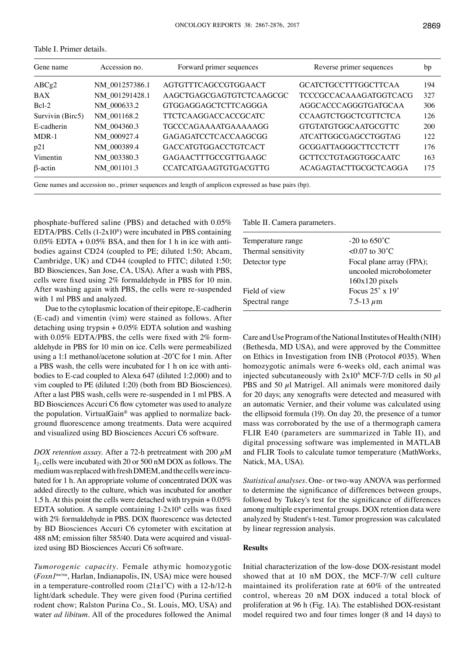| Gene name        | Accession no.  | Forward primer sequences     | Reverse primer sequences      | bp  |
|------------------|----------------|------------------------------|-------------------------------|-----|
| ABCg2            | NM 001257386.1 | AGTGTTTCAGCCGTGGAACT         | <b>GCATCTGCCTTTGGCTTCAA</b>   | 194 |
| BAX              | NM 001291428.1 | AAGCTGAGCGAGTGTCTCAAGCGC     | <b>TCCCGCCACAAAGATGGTCACG</b> | 327 |
| $Bcl-2$          | NM 000633.2    | <b>GTGGAGGAGCTCTTCAGGGA</b>  | AGGCACCCAGGGTGATGCAA          | 306 |
| Survivin (Birc5) | NM 001168.2    | <b>TTCTCAAGGACCACCGCATC</b>  | <b>CCAAGTCTGGCTCGTTCTCA</b>   | 126 |
| E-cadherin       | NM 004360.3    | TGCCCAGAAAATGAAAAAGG         | <b>GTGTATGTGGCAATGCGTTC</b>   | 200 |
| MDR-1            | NM 000927.4    | <b>GAGAGATCCTCACCAAGCGG</b>  | <b>ATCATTGGCGAGCCTGGTAG</b>   | 122 |
| p21              | NM 000389.4    | <b>GACCATGTGGACCTGTCACT</b>  | <b>GCGGATTAGGGCTTCCTCTT</b>   | 176 |
| Vimentin         | NM 003380.3    | GAGAACTTTGCCGTTGAAGC         | <b>GCTTCCTGTAGGTGGCAATC</b>   | 163 |
| $\beta$ -actin   | NM 001101.3    | <b>CCATCATGAAGTGTGACGTTG</b> | ACAGAGTACTTGCGCTCAGGA         | 175 |
|                  |                |                              |                               |     |

Table I. Primer details.

Gene names and accession no., primer sequences and length of amplicon expressed as base pairs (bp).

phosphate-buffered saline (PBS) and detached with 0.05%  $EDTA/PBS$ . Cells  $(1-2x10<sup>6</sup>)$  were incubated in PBS containing  $0.05\%$  EDTA +  $0.05\%$  BSA, and then for 1 h in ice with antibodies against CD24 (coupled to PE; diluted 1:50; Abcam, Cambridge, UK) and CD44 (coupled to FITC; diluted 1:50; BD Biosciences, San Jose, CA, USA). After a wash with PBS, cells were fixed using 2% formaldehyde in PBS for 10 min. After washing again with PBS, the cells were re-suspended with 1 ml PBS and analyzed.

Due to the cytoplasmic location of their epitope, E-cadherin (E-cad) and vimentin (vim) were stained as follows. After detaching using trypsin + 0.05% EDTA solution and washing with 0.05% EDTA/PBS, the cells were fixed with 2% formaldehyde in PBS for 10 min on ice. Cells were permeabilized using a 1:1 methanol/acetone solution at -20˚C for 1 min. After a PBS wash, the cells were incubated for 1 h on ice with antibodies to E-cad coupled to Alexa 647 (diluted 1:2,000) and to vim coupled to PE (diluted 1:20) (both from BD Biosciences). After a last PBS wash, cells were re-suspended in 1 ml PBS. A BD Biosciences Accuri C6 flow cytometer was used to analyze the population. VirtualGain® was applied to normalize background fluorescence among treatments. Data were acquired and visualized using BD Biosciences Accuri C6 software.

*DOX retention assay.* After a 72-h pretreatment with 200  $\mu$ M I<sub>2</sub>, cells were incubated with 20 or 500 nM DOX as follows. The medium was replaced with fresh DMEM, and the cells were incubated for 1 h. An appropriate volume of concentrated DOX was added directly to the culture, which was incubated for another 1.5 h. At this point the cells were detached with trypsin + 0.05% EDTA solution. A sample containing  $1-2x10^6$  cells was fixed with 2% formaldehyde in PBS. DOX fluorescence was detected by BD Biosciences Accuri C6 cytometer with excitation at 488 nM; emission filter 585/40. Data were acquired and visualized using BD Biosciences Accuri C6 software.

*Tumorogenic capacity.* Female athymic homozygotic (*Foxn1nu/nu*, Harlan, Indianapolis, IN, USA) mice were housed in a temperature-controlled room  $(21\pm1^{\circ}C)$  with a 12-h/12-h light/dark schedule. They were given food (Purina certified rodent chow; Ralston Purina Co., St. Louis, MO, USA) and water *ad libitum*. All of the procedures followed the Animal Table II. Camera parameters.

| Temperature range   | $-20$ to 650 $^{\circ}$ C        |
|---------------------|----------------------------------|
| Thermal sensitivity | $< 0.07$ to 30 <sup>°</sup> C    |
| Detector type       | Focal plane array (FPA);         |
|                     | uncooled microbolometer          |
|                     | $160x120$ pixels                 |
| Field of view       | Focus $25^\circ \times 19^\circ$ |
| Spectral range      | $7.5 - 13 \ \mu m$               |
|                     |                                  |

Care and Use Program of the National Institutes of Health (NIH) (Bethesda, MD USA), and were approved by the Committee on Ethics in Investigation from INB (Protocol #035). When homozygotic animals were 6-weeks old, each animal was injected subcutaneously with  $2x10^6$  MCF-7/D cells in 50  $\mu$ l PBS and 50  $\mu$ l Matrigel. All animals were monitored daily for 20 days; any xenografts were detected and measured with an automatic Vernier, and their volume was calculated using the ellipsoid formula (19). On day 20, the presence of a tumor mass was corroborated by the use of a thermograph camera FLIR E40 (parameters are summarized in Table II), and digital processing software was implemented in MATLAB and FLIR Tools to calculate tumor temperature (MathWorks, Natick, MA, USA).

*Statistical analyses.* One- or two-way ANOVA was performed to determine the significance of differences between groups, followed by Tukey's test for the significance of differences among multiple experimental groups. DOX retention data were analyzed by Student's t-test. Tumor progression was calculated by linear regression analysis.

## **Results**

Initial characterization of the low-dose DOX-resistant model showed that at 10 nM DOX, the MCF-7/W cell culture maintained its proliferation rate at 60% of the untreated control, whereas 20 nM DOX induced a total block of proliferation at 96 h (Fig. 1A). The established DOX-resistant model required two and four times longer (8 and 14 days) to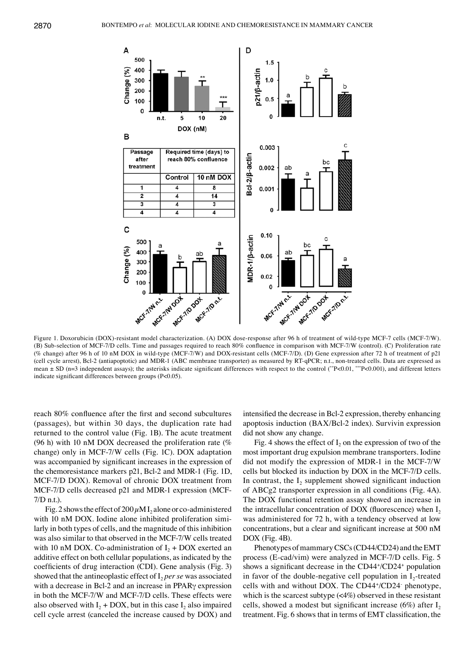

Figure 1. Doxorubicin (DOX)-resistant model characterization. (A) DOX dose-response after 96 h of treatment of wild-type MCF-7 cells (MCF-7/W). (B) Sub‑selection of MCF-7/D cells. Time and passages required to reach 80% confluence in comparison with MCF-7/W (control). (C) Proliferation rate (% change) after 96 h of 10 nM DOX in wild-type (MCF-7/W) and DOX-resistant cells (MCF-7/D). (D) Gene expression after 72 h of treatment of p21 (cell cycle arrest), Bcl-2 (antiapoptotic) and MDR-1 (ABC membrane transporter) as measured by RT-qPCR; n.t., non-treated cells. Data are expressed as mean  $\pm$  SD (n=3 independent assays); the asterisks indicate significant differences with respect to the control (\*\*P<0.01, \*\*\*P<0.001), and different letters indicate significant differences between groups (P<0.05).

reach 80% confluence after the first and second subcultures (passages), but within 30 days, the duplication rate had returned to the control value (Fig. 1B). The acute treatment (96 h) with 10 nM DOX decreased the proliferation rate  $(\%$ change) only in MCF-7/W cells (Fig. 1C). DOX adaptation was accompanied by significant increases in the expression of the chemoresistance markers p21, Bcl-2 and MDR-1 (Fig. 1D, MCF-7/D DOX). Removal of chronic DOX treatment from MCF-7/D cells decreased p21 and MDR-1 expression (MCF-7/D n.t.).

Fig. 2 shows the effect of  $200 \mu$ M I<sub>2</sub> alone or co-administered with 10 nM DOX. Iodine alone inhibited proliferation similarly in both types of cells, and the magnitude of this inhibition was also similar to that observed in the MCF-7/W cells treated with 10 nM DOX. Co-administration of  $I_2$  + DOX exerted an additive effect on both cellular populations, as indicated by the coefficients of drug interaction (CDI). Gene analysis (Fig. 3) showed that the antineoplastic effect of  $I_2$  *per se* was associated with a decrease in Bcl-2 and an increase in PPARγ expression in both the MCF-7/W and MCF-7/D cells. These effects were also observed with  $I_2$  + DOX, but in this case  $I_2$  also impaired cell cycle arrest (canceled the increase caused by DOX) and intensified the decrease in Bcl-2 expression, thereby enhancing apoptosis induction (BAX/Bcl-2 index). Survivin expression did not show any change.

Fig. 4 shows the effect of  $I_2$  on the expression of two of the most important drug expulsion membrane transporters. Iodine did not modify the expression of MDR-1 in the MCF-7/W cells but blocked its induction by DOX in the MCF-7/D cells. In contrast, the  $I_2$  supplement showed significant induction of ABCg2 transporter expression in all conditions (Fig. 4A). The DOX functional retention assay showed an increase in the intracellular concentration of DOX (fluorescence) when  $I_2$ was administered for 72 h, with a tendency observed at low concentrations, but a clear and significant increase at 500 nM DOX (Fig. 4B).

Phenotypes of mammary CSCs (CD44/CD24) and the EMT process (E-cad/vim) were analyzed in MCF-7/D cells. Fig. 5 shows a significant decrease in the CD44+/CD24+ population in favor of the double-negative cell population in  $I_2$ -treated cells with and without DOX. The CD44+ /CD24- phenotype, which is the scarcest subtype (<4%) observed in these resistant cells, showed a modest but significant increase (6%) after  $I_2$ treatment. Fig. 6 shows that in terms of EMT classification, the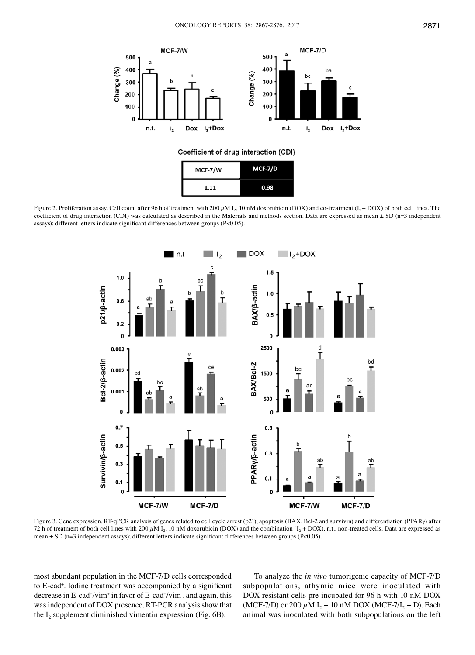

# Coefficient of drug interaction (CDI)

| MCF-7/W | MCF-7/D |
|---------|---------|
| 1.11    | 0.98    |

Figure 2. Proliferation assay. Cell count after 96 h of treatment with 200  $\mu$ M I<sub>2</sub>, 10 nM doxorubicin (DOX) and co-treatment (I<sub>2</sub>+ DOX) of both cell lines. The coefficient of drug interaction (CDI) was calculated as described in the Materials and methods section. Data are expressed as mean  $\pm$  SD (n=3 independent assays); different letters indicate significant differences between groups (P<0.05).



Figure 3. Gene expression. RT-qPCR analysis of genes related to cell cycle arrest (p21), apoptosis (BAX, Bcl-2 and survivin) and differentiation (PPARγ) after 72 h of treatment of both cell lines with 200  $\mu$ M I<sub>2</sub>, 10 nM doxorubicin (DOX) and the combination (I<sub>2</sub> + DOX). n.t., non-treated cells. Data are expressed as mean ± SD (n=3 independent assays); different letters indicate significant differences between groups (P<0.05).

most abundant population in the MCF-7/D cells corresponded to E-cad+ . Iodine treatment was accompanied by a significant decrease in E-cad+ /vim+ in favor of E-cad+ /vim- , and again, this was independent of DOX presence. RT-PCR analysis show that the  $I_2$  supplement diminished vimentin expression (Fig. 6B).

To analyze the *in vivo* tumorigenic capacity of MCF-7/D subpopulations, athymic mice were inoculated with DOX-resistant cells pre-incubated for 96 h with 10 nM DOX (MCF-7/D) or 200  $\mu$ M I<sub>2</sub> + 10 nM DOX (MCF-7/I<sub>2</sub> + D). Each animal was inoculated with both subpopulations on the left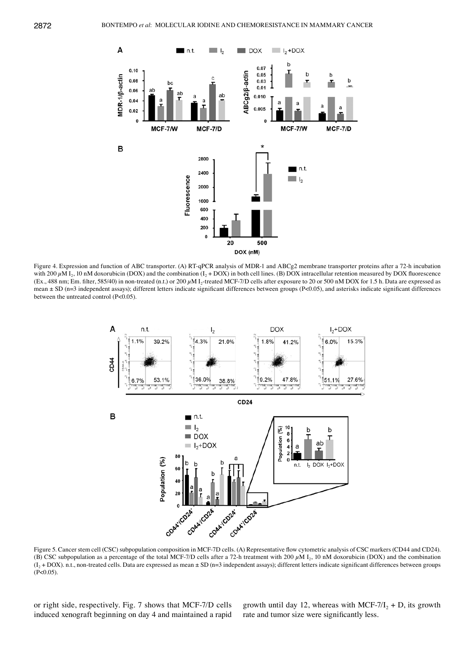

Figure 4. Expression and function of ABC transporter. (A) RT-qPCR analysis of MDR-1 and ABCg2 membrane transporter proteins after a 72-h incubation with 200  $\mu$ M I<sub>2</sub>, 10 nM doxorubicin (DOX) and the combination (I<sub>2</sub> + DOX) in both cell lines. (B) DOX intracellular retention measured by DOX fluorescence (Ex., 488 nm; Em. filter, 585/40) in non-treated (n.t.) or 200  $\mu$ M I<sub>2</sub>-treated MCF-7/D cells after exposure to 20 or 500 nM DOX for 1.5 h. Data are expressed as mean  $\pm$  SD (n=3 independent assays); different letters indicate significant differences between groups (P<0.05), and asterisks indicate significant differences between the untreated control (P<0.05).



Figure 5. Cancer stem cell (CSC) subpopulation composition in MCF-7D cells. (A) Representative flow cytometric analysis of CSC markers (CD44 and CD24). (B) CSC subpopulation as a percentage of the total MCF-7/D cells after a 72-h treatment with 200  $\mu$ M I<sub>2</sub>, 10 nM doxorubicin (DOX) and the combination  $(I_2 + DOX)$ . n.t., non-treated cells. Data are expressed as mean  $\pm SD$  (n=3 independent assays); different letters indicate significant differences between groups  $(P<0.05)$ .

or right side, respectively. Fig. 7 shows that MCF-7/D cells induced xenograft beginning on day 4 and maintained a rapid growth until day 12, whereas with MCF-7/ $I_2$  + D, its growth rate and tumor size were significantly less.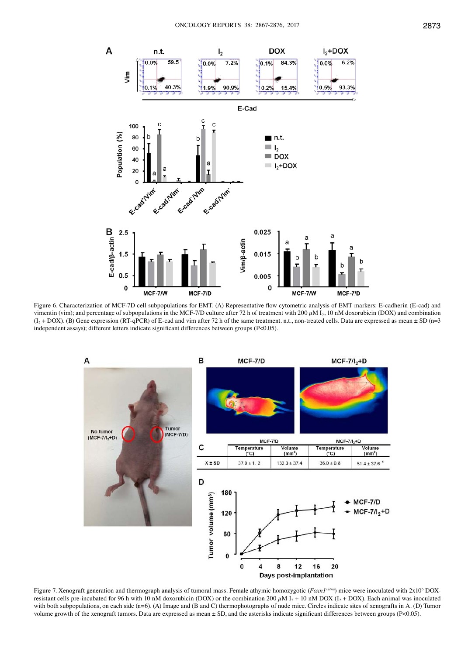

Figure 6. Characterization of MCF-7D cell subpopulations for EMT. (A) Representative flow cytometric analysis of EMT markers: E-cadherin (E-cad) and vimentin (vim); and percentage of subpopulations in the MCF-7/D culture after 72 h of treatment with 200  $\mu$ M I<sub>2</sub>, 10 nM doxorubicin (DOX) and combination  $(I_2 + DOX)$ . (B) Gene expression (RT-qPCR) of E-cad and vim after 72 h of the same treatment. n.t., non-treated cells. Data are expressed as mean  $\pm$  SD (n=3 independent assays); different letters indicate significant differences between groups (P<0.05).



Figure 7. Xenograft generation and thermograph analysis of tumoral mass. Female athymic homozygotic (*Foxn1<sup>nu/nu</sup>*) mice were inoculated with 2x10<sup>6</sup> DOXresistant cells pre-incubated for 96 h with 10 nM doxorubicin (DOX) or the combination 200  $\mu$ M I<sub>2</sub> + 10 nM DOX (I<sub>2</sub> + DOX). Each animal was inoculated with both subpopulations, on each side (n=6). (A) Image and (B and C) thermophotographs of nude mice. Circles indicate sites of xenografts in A. (D) Tumor volume growth of the xenograft tumors. Data are expressed as mean ± SD, and the asterisks indicate significant differences between groups (P<0.05).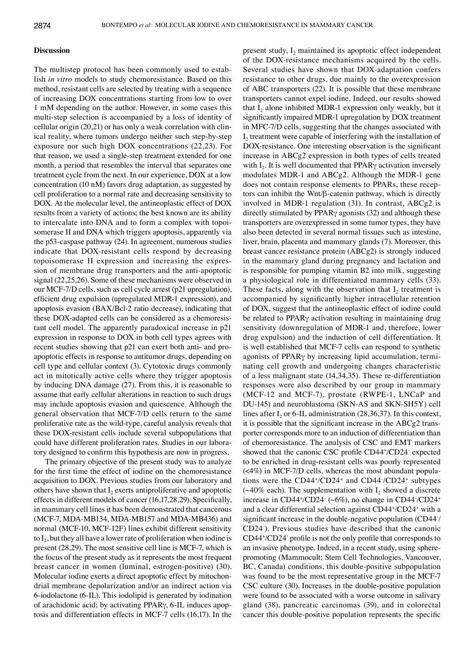#### **Discussion**

The multistep protocol has been commonly used to establish *in vitro* models to study chemoresistance. Based on this method, resistant cells are selected by treating with a sequence of increasing DOX concentrations starting from low to over 1 mM depending on the author. However, in some cases this multi-step selection is accompanied by a loss of identity of cellular origin (20,21) or has only a weak correlation with clinical reality, where tumors undergo neither such step-by-step exposure nor such high DOX concentrations (22,23). For that reason, we used a single-step treatment extended for one month, a period that resembles the interval that separates one treatment cycle from the next. In our experience, DOX at a low concentration (10 nM) favors drug adaptation, as suggested by cell proliferation to a normal rate and decreasing sensitivity to DOX. At the molecular level, the antineoplastic effect of DOX results from a variety of actions; the best known are its ability to intercalate into DNA and to form a complex with topoisomerase II and DNA which triggers apoptosis, apparently via the p53-caspase pathway (24). In agreement, numerous studies indicate that DOX-resistant cells respond by decreasing topoisomerase II expression and increasing the expression of membrane drug transporters and the anti-apoptotic signal (22,25,26). Some of these mechanisms were observed in our MCF-7/D cells, such as cell cycle arrest (p21 upregulation), efficient drug expulsion (upregulated MDR-1 expression), and apoptosis evasion (BAX/Bcl-2 ratio decrease), indicating that these DOX-adapted cells can be considered as a chemoresistant cell model. The apparently paradoxical increase in p21 expression in response to DOX in both cell types agrees with recent studies showing that p21 can exert both anti- and proapoptotic effects in response to antitumor drugs, depending on cell type and cellular context (3). Cytotoxic drugs commonly act in mitotically active cells where they trigger apoptosis by inducing DNA damage (27). From this, it is reasonable to assume that early cellular alterations in reaction to such drugs may include apoptosis evasion and quiescence. Although the general observation that MCF-7/D cells return to the same proliferative rate as the wild-type, careful analysis reveals that these DOX-resistant cells include several subpopulations that could have different proliferation rates. Studies in our laboratory designed to confirm this hypothesis are now in progress.

The primary objective of the present study was to analyze for the first time the effect of iodine on the chemoresistance acquisition to DOX. Previous studies from our laboratory and others have shown that  $I_2$  exerts antiproliferative and apoptotic effects in different models of cancer (16,17,28,29). Specifically, in mammary cell lines it has been demonstrated that cancerous (MCF-7, MDA-MB134, MDA-MB157 and MDA-MB436) and normal (MCF-10, MCF-12F) lines exhibit different sensitivity to  $I_2$ , but they all have a lower rate of proliferation when iodine is present (28,29). The most sensitive cell line is MCF-7, which is the focus of the present study as it represents the most frequent breast cancer in women (luminal, estrogen-positive) (30). Molecular iodine exerts a direct apoptotic effect by mitochondrial membrane depolarization and/or an indirect action via 6-iodolactone (6-IL). This iodolipid is generated by iodination of arachidonic acid; by activating PPARγ, 6-IL induces apoptosis and differentiation effects in MCF-7 cells (16,17). In the present study,  $I_2$  maintained its apoptotic effect independent of the DOX-resistance mechanisms acquired by the cells. Several studies have shown that DOX-adaptation confers resistance to other drugs, due mainly to the overexpression of ABC transporters (22). It is possible that these membrane transporters cannot expel iodine. Indeed, our results showed that  $I_2$  alone inhibited MDR-1 expression only weakly, but it significantly impaired MDR-1 upregulation by DOX treatment in MFC-7/D cells, suggesting that the changes associated with  $I<sub>2</sub>$  treatment were capable of interfering with the installation of DOX-resistance. One interesting observation is the significant increase in ABCg2 expression in both types of cells treated with I<sub>2</sub>. It is well documented that PPAR<sub>Y</sub> activation inversely modulates MDR-1 and ABCg2. Although the MDR-1 gene does not contain response elements to PPARs, these receptors can inhibit the Wnt/β-catenin pathway, which is directly involved in MDR-1 regulation (31). In contrast, ABCg2 is directly stimulated by PPARγ agonists (32) and although these transporters are overexpressed in some tumor types, they have also been detected in several normal tissues such as intestine, liver, brain, placenta and mammary glands (7). Moreover, this breast cancer resistance protein (ABCg2) is strongly induced in the mammary gland during pregnancy and lactation and is responsible for pumping vitamin B2 into milk, suggesting a physiological role in differentiated mammary cells (33). These facts, along with the observation that  $I_2$  treatment is accompanied by significantly higher intracellular retention of DOX, suggest that the antineoplastic effect of iodine could be related to PPARγ activation resulting in maintaining drug sensitivity (downregulation of MDR-1 and, therefore, lower drug expulsion) and the induction of cell differentiation. It is well established that MCF-7 cells can respond to synthetic agonists of PPARγ by increasing lipid accumulation, terminating cell growth and undergoing changes characteristic of a less malignant state (14,34,35). These re-differentiation responses were also described by our group in mammary (MCF-12 and MCF-7), prostate (RWPE-1, LNCaP and DU-145) and neuroblastoma (SKN-AS and SKN-SH5Y) cell lines after  $I_2$  or 6-IL administration (28,36,37). In this context, it is possible that the significant increase in the ABCg2 transporter corresponds more to an induction of differentiation than of chemoresistance. The analysis of CSC and EMT markers showed that the canonic CSC profile CD44+/CD24 expected to be enriched in drug-resistant cells was poorly represented (<4%) in MCF-7/D cells, whereas the most abundant populations were the CD44+/CD24<sup>+</sup> and CD44-/CD24<sup>+</sup> subtypes ( $\sim$ 40% each). The supplementation with I<sub>2</sub> showed a discrete increase in CD44+/CD24 (~6%), no change in CD44 /CD24+ and a clear differential selection against CD44+ /CD24+ with a significant increase in the double-negative population (CD44- / CD24- ). Previous studies have described that the canonic CD44+ /CD24- profile is not the only profile that corresponds to an invasive phenotype. Indeed, in a recent study, using spherepromoting (Mammocult; Stem Cell Technologies, Vancouver, BC, Canada) conditions, this double-positive subpopulation was found to be the most representative group in the MCF-7 CSC culture (30). Increases in the double-positive population were found to be associated with a worse outcome in salivary gland (38), pancreatic carcinomas (39), and in colorectal cancer this double-positive population represents the specific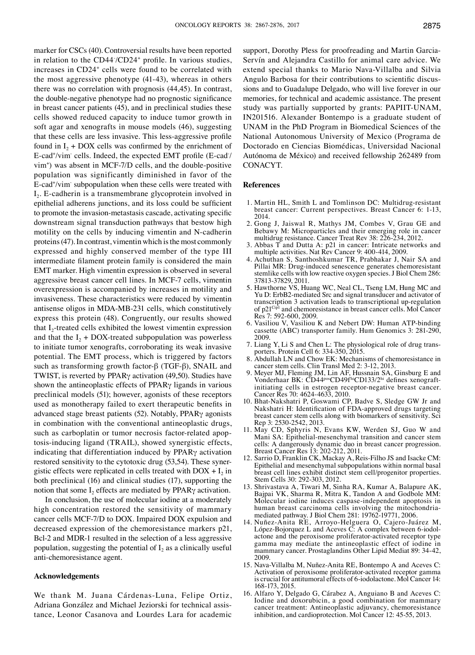marker for CSCs (40). Controversial results have been reported in relation to the CD44/CD24<sup>+</sup> profile. In various studies, increases in CD24+ cells were found to be correlated with the most aggressive phenotype (41-43), whereas in others there was no correlation with prognosis (44,45). In contrast, the double-negative phenotype had no prognostic significance in breast cancer patients (45), and in preclinical studies these cells showed reduced capacity to induce tumor growth in soft agar and xenografts in mouse models (46), suggesting that these cells are less invasive. This less-aggressive profile found in  $I_2$  + DOX cells was confirmed by the enrichment of E-cad<sup>+</sup>/vim<sup>-</sup>cells. Indeed, the expected EMT profile (E-cad<sup>-</sup>/ vim+ ) was absent in MCF-7/D cells, and the double-positive population was significantly diminished in favor of the E-cad<sup>+</sup>/vim subpopulation when these cells were treated with  $I<sub>2</sub>$ . E-cadherin is a transmembrane glycoprotein involved in epithelial adherens junctions, and its loss could be sufficient to promote the invasion-metastasis cascade, activating specific downstream signal transduction pathways that bestow high motility on the cells by inducing vimentin and N-cadherin proteins(47). In contrast, vimentin which is the most commonly expressed and highly conserved member of the type III intermediate filament protein family is considered the main EMT marker. High vimentin expression is observed in several aggressive breast cancer cell lines. In MCF-7 cells, vimentin overexpression is accompanied by increases in motility and invasiveness. These characteristics were reduced by vimentin antisense oligos in MDA-MB-231 cells, which constitutively express this protein (48). Congruently, our results showed that  $I_2$ -treated cells exhibited the lowest vimentin expression and that the  $I_2$  + DOX-treated subpopulation was powerless to initiate tumor xenografts, corroborating its weak invasive potential. The EMT process, which is triggered by factors such as transforming growth factor-β (TGF-β), SNAIL and TWIST, is reverted by PPARγ activation (49,50). Studies have shown the antineoplastic effects of PPARγ ligands in various preclinical models (51); however, agonists of these receptors used as monotherapy failed to exert therapeutic benefits in advanced stage breast patients (52). Notably, PPARγ agonists in combination with the conventional antineoplastic drugs, such as carboplatin or tumor necrosis factor-related apoptosis-inducing ligand (TRAIL), showed synergistic effects, indicating that differentiation induced by PPARγ activation restored sensitivity to the cytotoxic drug (53,54). These synergistic effects were replicated in cells treated with  $DOX + I_2$  in both preclinical (16) and clinical studies (17), supporting the notion that some  $I_2$  effects are mediated by PPAR $\gamma$  activation.

In conclusion, the use of molecular iodine at a moderately high concentration restored the sensitivity of mammary cancer cells MCF-7/D to DOX. Impaired DOX expulsion and decreased expression of the chemoresistance markers p21, Bcl-2 and MDR-1 resulted in the selection of a less aggressive population, suggesting the potential of  $I_2$  as a clinically useful anti-chemoresistance agent.

# **Acknowledgements**

We thank M. Juana Cárdenas-Luna, Felipe Ortiz, Adriana González and Michael Jeziorski for technical assistance, Leonor Casanova and Lourdes Lara for academic

support, Dorothy Pless for proofreading and Martin Garcia-Servín and Alejandra Castillo for animal care advice. We extend special thanks to Mario Nava-Villalba and Silvia Angulo Barbosa for their contributions to scientific discussions and to Guadalupe Delgado, who will live forever in our memories, for technical and academic assistance. The present study was partially supported by grants: PAPIIT-UNAM, IN201516. Alexander Bontempo is a graduate student of UNAM in the PhD Program in Biomedical Sciences of the National Autonomous University of Mexico (Programa de Doctorado en Ciencias Biomédicas, Universidad Nacional Autónoma de México) and received fellowship 262489 from CONACYT.

#### **References**

- 1. Martin HL, Smith L and Tomlinson DC: Multidrug-resistant breast cancer: Current perspectives. Breast Cancer 6: 1-13, 2014.
- 2. Gong J, Jaiswal R, Mathys JM, Combes V, Grau GE and Bebawy M: Microparticles and their emerging role in cancer multidrug resistance. Cancer Treat Rev 38: 226-234, 2012.
- 3. Abbas T and Dutta A: p21 in cancer: Intricate networks and multiple activities. Nat Rev Cancer 9: 400-414, 2009.
- 4. Achuthan S, Santhoshkumar TR, Prabhakar J, Nair SA and Pillai MR: Drug-induced senescence generates chemoresistant stemlike cells with low reactive oxygen species. J Biol Chem 286: 37813-37829, 2011.
- 5. Hawthorne VS, Huang WC, Neal CL, Tseng LM, Hung MC and Yu D: ErbB2-mediated Src and signal transducer and activator of transcription 3 activation leads to transcriptional up-regulation of p21Cip1 and chemoresistance in breast cancer cells. Mol Cancer Res 7: 592-600, 2009.
- 6. Vasiliou V, Vasiliou K and Nebert DW: Human ATP-binding cassette (ABC) transporter family. Hum Genomics 3: 281-290, 2009.
- 7. Liang Y, Li S and Chen L: The physiological role of drug trans- porters. Protein Cell 6: 334-350, 2015.
- 8. Abdullah LN and Chow EK: Mechanisms of chemoresistance in cancer stem cells. Clin Transl Med 2: 3-12, 2013.
- 9. Meyer MJ, Fleming JM, Lin AF, Hussnain SA, Ginsburg E and Vonderhaar BK: CD44<sup>pos</sup>CD49f<sup>hi</sup>CD133/2<sup>hi</sup> defines xenograftinitiating cells in estrogen receptor-negative breast cancer. Cancer Res 70: 4624-4633, 2010.
- 10. Bhat-Nakshatri P, Goswami CP, Badve S, Sledge GW Jr and Nakshatri H: Identification of FDA-approved drugs targeting breast cancer stem cells along with biomarkers of sensitivity. Sci Rep 3: 2530-2542, 2013.
- 11. May CD, Sphyris N, Evans KW, Werden SJ, Guo W and Mani SA: Epithelial-mesenchymal transition and cancer stem cells: A dangerously dynamic duo in breast cancer progression. Breast Cancer Res 13: 202-212, 2011.
- 12. Sarrio D, Franklin CK, Mackay A, Reis-Filho JS and Isacke CM: Epithelial and mesenchymal subpopulations within normal basal breast cell lines exhibit distinct stem cell/progenitor properties. Stem Cells 30: 292-303, 2012.
- 13. Shrivastava A, Tiwari M, Sinha RA, Kumar A, Balapure AK, Bajpai VK, Sharma R, Mitra K, Tandon A and Godbole MM: Molecular iodine induces caspase-independent apoptosis in human breast carcinoma cells involving the mitochondriamediated pathway. J Biol Chem 281: 19762-19771, 2006.
- 14. Nuñez-Anita RE, Arroyo-Helguera O, Cajero-Juárez M, López-Bojorquez L and Aceves C: A complex between 6-iodol- actone and the peroxisome proliferator-activated receptor type gamma may mediate the antineoplastic effect of iodine in mammary cancer. Prostaglandins Other Lipid Mediat 89: 34-42, 2009.
- 15. Nava-Villalba M, Nuñez-Anita RE, Bontempo A and Aceves C: Activation of peroxisome proliferator-activated receptor gamma is crucial for antitumoral effects of 6-iodolactone. Mol Cancer 14: 168-173, 2015.
- 16. Alfaro Y, Delgado G, Cárabez A, Anguiano B and Aceves C: Iodine and doxorubicin, a good combination for mammary cancer treatment: Antineoplastic adjuvancy, chemoresistance inhibition, and cardioprotection. Mol Cancer 12: 45-55, 2013.